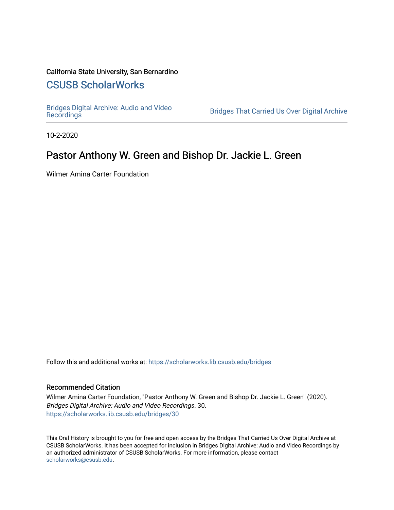# California State University, San Bernardino

# [CSUSB ScholarWorks](https://scholarworks.lib.csusb.edu/)

[Bridges Digital Archive: Audio and Video](https://scholarworks.lib.csusb.edu/bridges)

Bridges That Carried Us Over Digital Archive

10-2-2020

# Pastor Anthony W. Green and Bishop Dr. Jackie L. Green

Wilmer Amina Carter Foundation

Follow this and additional works at: [https://scholarworks.lib.csusb.edu/bridges](https://scholarworks.lib.csusb.edu/bridges?utm_source=scholarworks.lib.csusb.edu%2Fbridges%2F30&utm_medium=PDF&utm_campaign=PDFCoverPages) 

#### Recommended Citation

Wilmer Amina Carter Foundation, "Pastor Anthony W. Green and Bishop Dr. Jackie L. Green" (2020). Bridges Digital Archive: Audio and Video Recordings. 30. [https://scholarworks.lib.csusb.edu/bridges/30](https://scholarworks.lib.csusb.edu/bridges/30?utm_source=scholarworks.lib.csusb.edu%2Fbridges%2F30&utm_medium=PDF&utm_campaign=PDFCoverPages)

This Oral History is brought to you for free and open access by the Bridges That Carried Us Over Digital Archive at CSUSB ScholarWorks. It has been accepted for inclusion in Bridges Digital Archive: Audio and Video Recordings by an authorized administrator of CSUSB ScholarWorks. For more information, please contact [scholarworks@csusb.edu](mailto:scholarworks@csusb.edu).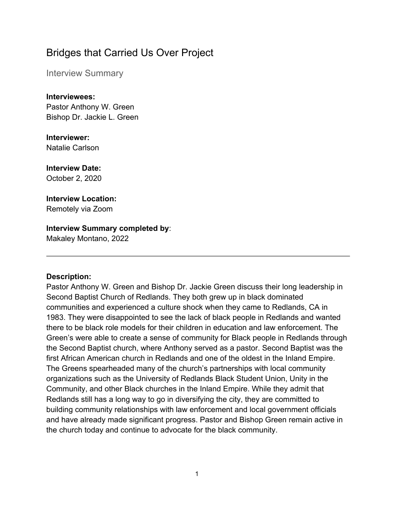# Bridges that Carried Us Over Project

Interview Summary

**Interviewees:** Pastor Anthony W. Green Bishop Dr. Jackie L. Green

**Interviewer:** Natalie Carlson

**Interview Date:** October 2, 2020

**Interview Location:** Remotely via Zoom

# **Interview Summary completed by**:

Makaley Montano, 2022

#### **Description:**

Pastor Anthony W. Green and Bishop Dr. Jackie Green discuss their long leadership in Second Baptist Church of Redlands. They both grew up in black dominated communities and experienced a culture shock when they came to Redlands, CA in 1983. They were disappointed to see the lack of black people in Redlands and wanted there to be black role models for their children in education and law enforcement. The Green's were able to create a sense of community for Black people in Redlands through the Second Baptist church, where Anthony served as a pastor. Second Baptist was the first African American church in Redlands and one of the oldest in the Inland Empire. The Greens spearheaded many of the church's partnerships with local community organizations such as the University of Redlands Black Student Union, Unity in the Community, and other Black churches in the Inland Empire. While they admit that Redlands still has a long way to go in diversifying the city, they are committed to building community relationships with law enforcement and local government officials and have already made significant progress. Pastor and Bishop Green remain active in the church today and continue to advocate for the black community.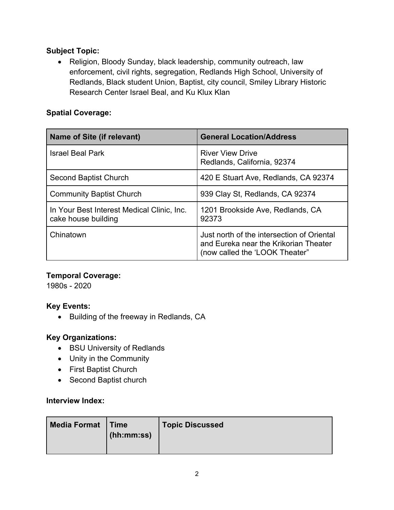## **Subject Topic:**

• Religion, Bloody Sunday, black leadership, community outreach, law enforcement, civil rights, segregation, Redlands High School, University of Redlands, Black student Union, Baptist, city council, Smiley Library Historic Research Center Israel Beal, and Ku Klux Klan

## **Spatial Coverage:**

| <b>Name of Site (if relevant)</b>                                 | <b>General Location/Address</b>                                                                                       |
|-------------------------------------------------------------------|-----------------------------------------------------------------------------------------------------------------------|
| <b>Israel Beal Park</b>                                           | <b>River View Drive</b><br>Redlands, California, 92374                                                                |
| Second Baptist Church                                             | 420 E Stuart Ave, Redlands, CA 92374                                                                                  |
| <b>Community Baptist Church</b>                                   | 939 Clay St, Redlands, CA 92374                                                                                       |
| In Your Best Interest Medical Clinic, Inc.<br>cake house building | 1201 Brookside Ave, Redlands, CA<br>92373                                                                             |
| Chinatown                                                         | Just north of the intersection of Oriental<br>and Eureka near the Krikorian Theater<br>(now called the 'LOOK Theater" |

## **Temporal Coverage:**

1980s - 2020

## **Key Events:**

• Building of the freeway in Redlands, CA

## **Key Organizations:**

- BSU University of Redlands
- Unity in the Community
- First Baptist Church
- Second Baptist church

#### **Interview Index:**

| <b>Media Format</b> | <b>Time</b><br>(hh:mm:ss) | <b>Topic Discussed</b> |
|---------------------|---------------------------|------------------------|
|                     |                           |                        |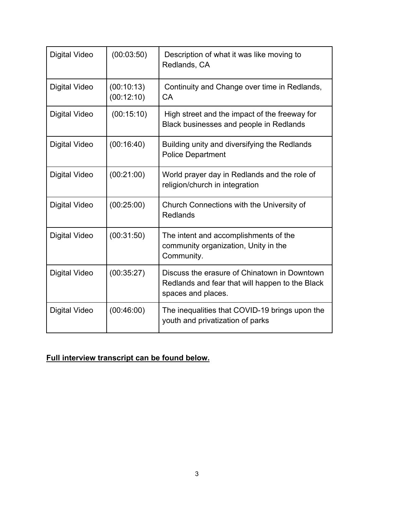| <b>Digital Video</b> | (00:03:50)               | Description of what it was like moving to<br>Redlands, CA                                                             |
|----------------------|--------------------------|-----------------------------------------------------------------------------------------------------------------------|
| <b>Digital Video</b> | (00:10:13)<br>(00:12:10) | Continuity and Change over time in Redlands,<br><b>CA</b>                                                             |
| <b>Digital Video</b> | (00:15:10)               | High street and the impact of the freeway for<br>Black businesses and people in Redlands                              |
| <b>Digital Video</b> | (00:16:40)               | Building unity and diversifying the Redlands<br><b>Police Department</b>                                              |
| <b>Digital Video</b> | (00:21:00)               | World prayer day in Redlands and the role of<br>religion/church in integration                                        |
| <b>Digital Video</b> | (00:25:00)               | Church Connections with the University of<br>Redlands                                                                 |
| <b>Digital Video</b> | (00:31:50)               | The intent and accomplishments of the<br>community organization, Unity in the<br>Community.                           |
| <b>Digital Video</b> | (00:35:27)               | Discuss the erasure of Chinatown in Downtown<br>Redlands and fear that will happen to the Black<br>spaces and places. |
| Digital Video        | (00:46:00)               | The inequalities that COVID-19 brings upon the<br>youth and privatization of parks                                    |

**Full interview transcript can be found below.**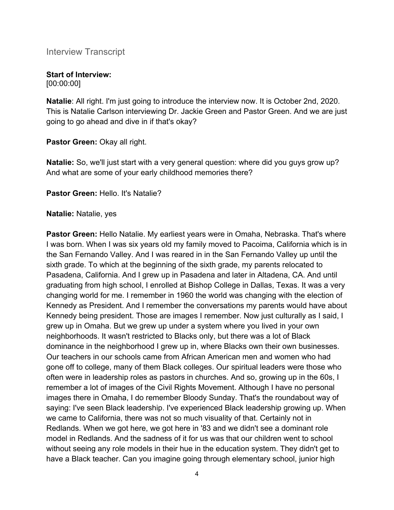Interview Transcript

# **Start of Interview:**

[00:00:00]

**Natalie**: All right. I'm just going to introduce the interview now. It is October 2nd, 2020. This is Natalie Carlson interviewing Dr. Jackie Green and Pastor Green. And we are just going to go ahead and dive in if that's okay?

**Pastor Green:** Okay all right.

**Natalie:** So, we'll just start with a very general question: where did you guys grow up? And what are some of your early childhood memories there?

**Pastor Green:** Hello. It's Natalie?

#### **Natalie:** Natalie, yes

**Pastor Green:** Hello Natalie. My earliest years were in Omaha, Nebraska. That's where I was born. When I was six years old my family moved to Pacoima, California which is in the San Fernando Valley. And I was reared in in the San Fernando Valley up until the sixth grade. To which at the beginning of the sixth grade, my parents relocated to Pasadena, California. And I grew up in Pasadena and later in Altadena, CA. And until graduating from high school, I enrolled at Bishop College in Dallas, Texas. It was a very changing world for me. I remember in 1960 the world was changing with the election of Kennedy as President. And I remember the conversations my parents would have about Kennedy being president. Those are images I remember. Now just culturally as I said, I grew up in Omaha. But we grew up under a system where you lived in your own neighborhoods. It wasn't restricted to Blacks only, but there was a lot of Black dominance in the neighborhood I grew up in, where Blacks own their own businesses. Our teachers in our schools came from African American men and women who had gone off to college, many of them Black colleges. Our spiritual leaders were those who often were in leadership roles as pastors in churches. And so, growing up in the 60s, I remember a lot of images of the Civil Rights Movement. Although I have no personal images there in Omaha, I do remember Bloody Sunday. That's the roundabout way of saying: I've seen Black leadership. I've experienced Black leadership growing up. When we came to California, there was not so much visuality of that. Certainly not in Redlands. When we got here, we got here in '83 and we didn't see a dominant role model in Redlands. And the sadness of it for us was that our children went to school without seeing any role models in their hue in the education system. They didn't get to have a Black teacher. Can you imagine going through elementary school, junior high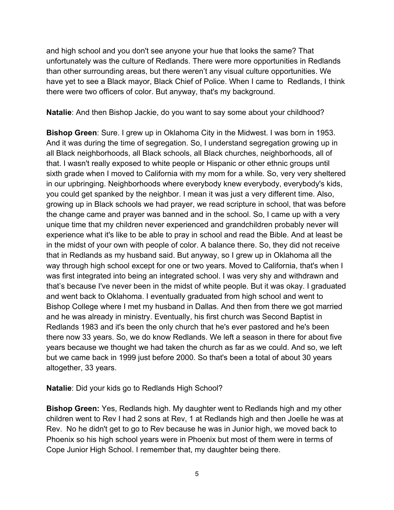and high school and you don't see anyone your hue that looks the same? That unfortunately was the culture of Redlands. There were more opportunities in Redlands than other surrounding areas, but there weren't any visual culture opportunities. We have yet to see a Black mayor, Black Chief of Police. When I came to Redlands, I think there were two officers of color. But anyway, that's my background.

**Natalie**: And then Bishop Jackie, do you want to say some about your childhood?

**Bishop Green**: Sure. I grew up in Oklahoma City in the Midwest. I was born in 1953. And it was during the time of segregation. So, I understand segregation growing up in all Black neighborhoods, all Black schools, all Black churches, neighborhoods, all of that. I wasn't really exposed to white people or Hispanic or other ethnic groups until sixth grade when I moved to California with my mom for a while. So, very very sheltered in our upbringing. Neighborhoods where everybody knew everybody, everybody's kids, you could get spanked by the neighbor. I mean it was just a very different time. Also, growing up in Black schools we had prayer, we read scripture in school, that was before the change came and prayer was banned and in the school. So, I came up with a very unique time that my children never experienced and grandchildren probably never will experience what it's like to be able to pray in school and read the Bible. And at least be in the midst of your own with people of color. A balance there. So, they did not receive that in Redlands as my husband said. But anyway, so I grew up in Oklahoma all the way through high school except for one or two years. Moved to California, that's when I was first integrated into being an integrated school. I was very shy and withdrawn and that's because I've never been in the midst of white people. But it was okay. I graduated and went back to Oklahoma. I eventually graduated from high school and went to Bishop College where I met my husband in Dallas. And then from there we got married and he was already in ministry. Eventually, his first church was Second Baptist in Redlands 1983 and it's been the only church that he's ever pastored and he's been there now 33 years. So, we do know Redlands. We left a season in there for about five years because we thought we had taken the church as far as we could. And so, we left but we came back in 1999 just before 2000. So that's been a total of about 30 years altogether, 33 years.

**Natalie**: Did your kids go to Redlands High School?

**Bishop Green:** Yes, Redlands high. My daughter went to Redlands high and my other children went to Rev I had 2 sons at Rev, 1 at Redlands high and then Joelle he was at Rev. No he didn't get to go to Rev because he was in Junior high, we moved back to Phoenix so his high school years were in Phoenix but most of them were in terms of Cope Junior High School. I remember that, my daughter being there.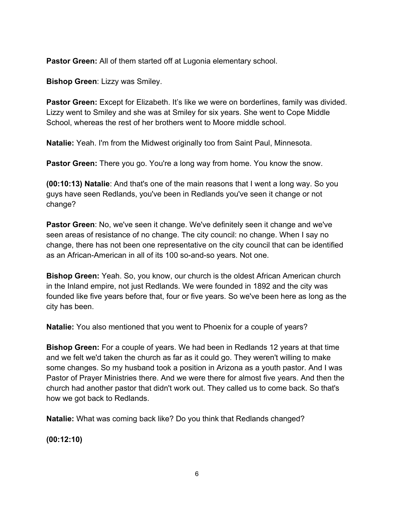**Pastor Green:** All of them started off at Lugonia elementary school.

**Bishop Green**: Lizzy was Smiley.

**Pastor Green:** Except for Elizabeth. It's like we were on borderlines, family was divided. Lizzy went to Smiley and she was at Smiley for six years. She went to Cope Middle School, whereas the rest of her brothers went to Moore middle school.

**Natalie:** Yeah. I'm from the Midwest originally too from Saint Paul, Minnesota.

**Pastor Green:** There you go. You're a long way from home. You know the snow.

**(00:10:13) Natalie**: And that's one of the main reasons that I went a long way. So you guys have seen Redlands, you've been in Redlands you've seen it change or not change?

**Pastor Green**: No, we've seen it change. We've definitely seen it change and we've seen areas of resistance of no change. The city council: no change. When I say no change, there has not been one representative on the city council that can be identified as an African-American in all of its 100 so-and-so years. Not one.

**Bishop Green:** Yeah. So, you know, our church is the oldest African American church in the Inland empire, not just Redlands. We were founded in 1892 and the city was founded like five years before that, four or five years. So we've been here as long as the city has been.

**Natalie:** You also mentioned that you went to Phoenix for a couple of years?

**Bishop Green:** For a couple of years. We had been in Redlands 12 years at that time and we felt we'd taken the church as far as it could go. They weren't willing to make some changes. So my husband took a position in Arizona as a youth pastor. And I was Pastor of Prayer Ministries there. And we were there for almost five years. And then the church had another pastor that didn't work out. They called us to come back. So that's how we got back to Redlands.

**Natalie:** What was coming back like? Do you think that Redlands changed?

**(00:12:10)**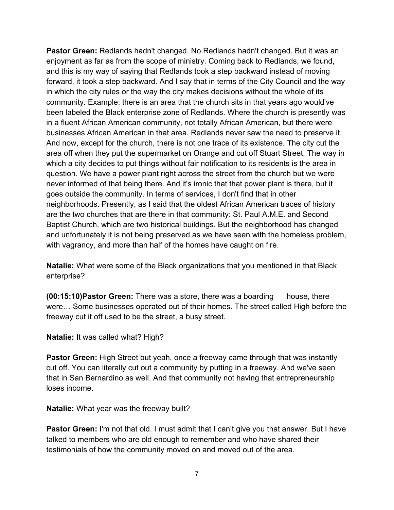**Pastor Green:** Redlands hadn't changed. No Redlands hadn't changed. But it was an enjoyment as far as from the scope of ministry. Coming back to Redlands, we found, and this is my way of saying that Redlands took a step backward instead of moving forward, it took a step backward. And I say that in terms of the City Council and the way in which the city rules or the way the city makes decisions without the whole of its community. Example: there is an area that the church sits in that years ago would've been labeled the Black enterprise zone of Redlands. Where the church is presently was in a fluent African American community, not totally African American, but there were businesses African American in that area. Redlands never saw the need to preserve it. And now, except for the church, there is not one trace of its existence. The city cut the area off when they put the supermarket on Orange and cut off Stuart Street. The way in which a city decides to put things without fair notification to its residents is the area in question. We have a power plant right across the street from the church but we were never informed of that being there. And it's ironic that that power plant is there, but it goes outside the community. In terms of services, I don't find that in other neighborhoods. Presently, as I said that the oldest African American traces of history are the two churches that are there in that community: St. Paul A.M.E. and Second Baptist Church, which are two historical buildings. But the neighborhood has changed and unfortunately it is not being preserved as we have seen with the homeless problem, with vagrancy, and more than half of the homes have caught on fire.

**Natalie:** What were some of the Black organizations that you mentioned in that Black enterprise?

**(00:15:10)Pastor Green:** There was a store, there was a boarding house, there were… Some businesses operated out of their homes. The street called High before the freeway cut it off used to be the street, a busy street.

**Natalie:** It was called what? High?

**Pastor Green:** High Street but yeah, once a freeway came through that was instantly cut off. You can literally cut out a community by putting in a freeway. And we've seen that in San Bernardino as well. And that community not having that entrepreneurship loses income.

**Natalie:** What year was the freeway built?

**Pastor Green:** I'm not that old. I must admit that I can't give you that answer. But I have talked to members who are old enough to remember and who have shared their testimonials of how the community moved on and moved out of the area.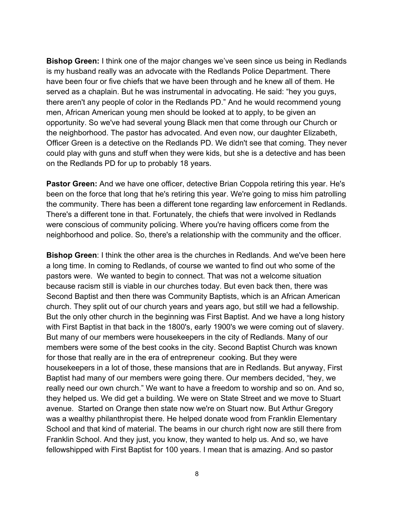**Bishop Green:** I think one of the major changes we've seen since us being in Redlands is my husband really was an advocate with the Redlands Police Department. There have been four or five chiefs that we have been through and he knew all of them. He served as a chaplain. But he was instrumental in advocating. He said: "hey you guys, there aren't any people of color in the Redlands PD." And he would recommend young men, African American young men should be looked at to apply, to be given an opportunity. So we've had several young Black men that come through our Church or the neighborhood. The pastor has advocated. And even now, our daughter Elizabeth, Officer Green is a detective on the Redlands PD. We didn't see that coming. They never could play with guns and stuff when they were kids, but she is a detective and has been on the Redlands PD for up to probably 18 years.

**Pastor Green:** And we have one officer, detective Brian Coppola retiring this year. He's been on the force that long that he's retiring this year. We're going to miss him patrolling the community. There has been a different tone regarding law enforcement in Redlands. There's a different tone in that. Fortunately, the chiefs that were involved in Redlands were conscious of community policing. Where you're having officers come from the neighborhood and police. So, there's a relationship with the community and the officer.

**Bishop Green**: I think the other area is the churches in Redlands. And we've been here a long time. In coming to Redlands, of course we wanted to find out who some of the pastors were. We wanted to begin to connect. That was not a welcome situation because racism still is viable in our churches today. But even back then, there was Second Baptist and then there was Community Baptists, which is an African American church. They split out of our church years and years ago, but still we had a fellowship. But the only other church in the beginning was First Baptist. And we have a long history with First Baptist in that back in the 1800's, early 1900's we were coming out of slavery. But many of our members were housekeepers in the city of Redlands. Many of our members were some of the best cooks in the city. Second Baptist Church was known for those that really are in the era of entrepreneur cooking. But they were housekeepers in a lot of those, these mansions that are in Redlands. But anyway, First Baptist had many of our members were going there. Our members decided, "hey, we really need our own church." We want to have a freedom to worship and so on. And so, they helped us. We did get a building. We were on State Street and we move to Stuart avenue. Started on Orange then state now we're on Stuart now. But Arthur Gregory was a wealthy philanthropist there. He helped donate wood from Franklin Elementary School and that kind of material. The beams in our church right now are still there from Franklin School. And they just, you know, they wanted to help us. And so, we have fellowshipped with First Baptist for 100 years. I mean that is amazing. And so pastor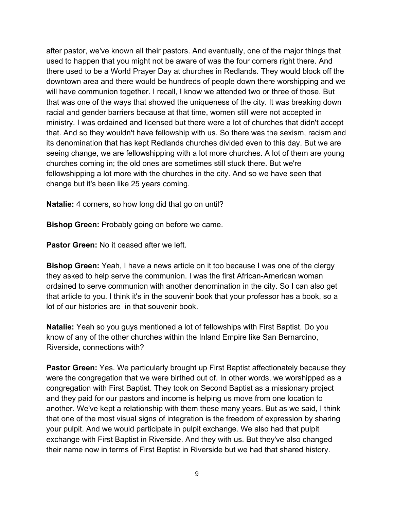after pastor, we've known all their pastors. And eventually, one of the major things that used to happen that you might not be aware of was the four corners right there. And there used to be a World Prayer Day at churches in Redlands. They would block off the downtown area and there would be hundreds of people down there worshipping and we will have communion together. I recall, I know we attended two or three of those. But that was one of the ways that showed the uniqueness of the city. It was breaking down racial and gender barriers because at that time, women still were not accepted in ministry. I was ordained and licensed but there were a lot of churches that didn't accept that. And so they wouldn't have fellowship with us. So there was the sexism, racism and its denomination that has kept Redlands churches divided even to this day. But we are seeing change, we are fellowshipping with a lot more churches. A lot of them are young churches coming in; the old ones are sometimes still stuck there. But we're fellowshipping a lot more with the churches in the city. And so we have seen that change but it's been like 25 years coming.

**Natalie:** 4 corners, so how long did that go on until?

**Bishop Green:** Probably going on before we came.

**Pastor Green:** No it ceased after we left.

**Bishop Green:** Yeah, I have a news article on it too because I was one of the clergy they asked to help serve the communion. I was the first African-American woman ordained to serve communion with another denomination in the city. So I can also get that article to you. I think it's in the souvenir book that your professor has a book, so a lot of our histories are in that souvenir book.

**Natalie:** Yeah so you guys mentioned a lot of fellowships with First Baptist. Do you know of any of the other churches within the Inland Empire like San Bernardino, Riverside, connections with?

**Pastor Green:** Yes. We particularly brought up First Baptist affectionately because they were the congregation that we were birthed out of. In other words, we worshipped as a congregation with First Baptist. They took on Second Baptist as a missionary project and they paid for our pastors and income is helping us move from one location to another. We've kept a relationship with them these many years. But as we said, I think that one of the most visual signs of integration is the freedom of expression by sharing your pulpit. And we would participate in pulpit exchange. We also had that pulpit exchange with First Baptist in Riverside. And they with us. But they've also changed their name now in terms of First Baptist in Riverside but we had that shared history.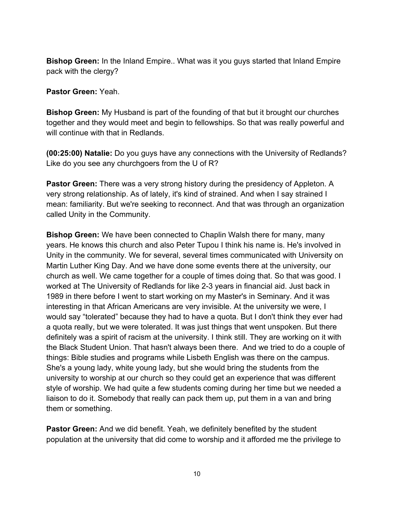**Bishop Green:** In the Inland Empire.. What was it you guys started that Inland Empire pack with the clergy?

**Pastor Green:** Yeah.

**Bishop Green:** My Husband is part of the founding of that but it brought our churches together and they would meet and begin to fellowships. So that was really powerful and will continue with that in Redlands.

**(00:25:00) Natalie:** Do you guys have any connections with the University of Redlands? Like do you see any churchgoers from the U of R?

**Pastor Green:** There was a very strong history during the presidency of Appleton. A very strong relationship. As of lately, it's kind of strained. And when I say strained I mean: familiarity. But we're seeking to reconnect. And that was through an organization called Unity in the Community.

**Bishop Green:** We have been connected to Chaplin Walsh there for many, many years. He knows this church and also Peter Tupou I think his name is. He's involved in Unity in the community. We for several, several times communicated with University on Martin Luther King Day. And we have done some events there at the university, our church as well. We came together for a couple of times doing that. So that was good. I worked at The University of Redlands for like 2-3 years in financial aid. Just back in 1989 in there before I went to start working on my Master's in Seminary. And it was interesting in that African Americans are very invisible. At the university we were, I would say "tolerated" because they had to have a quota. But I don't think they ever had a quota really, but we were tolerated. It was just things that went unspoken. But there definitely was a spirit of racism at the university. I think still. They are working on it with the Black Student Union. That hasn't always been there. And we tried to do a couple of things: Bible studies and programs while Lisbeth English was there on the campus. She's a young lady, white young lady, but she would bring the students from the university to worship at our church so they could get an experience that was different style of worship. We had quite a few students coming during her time but we needed a liaison to do it. Somebody that really can pack them up, put them in a van and bring them or something.

**Pastor Green:** And we did benefit. Yeah, we definitely benefited by the student population at the university that did come to worship and it afforded me the privilege to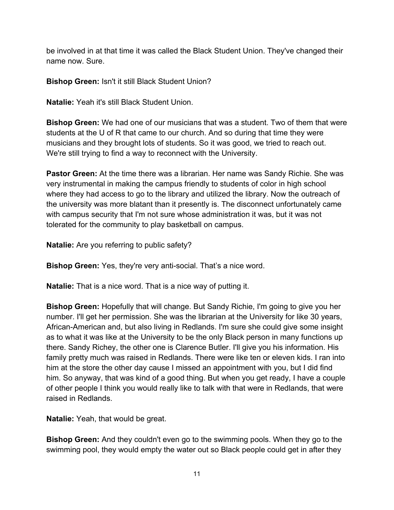be involved in at that time it was called the Black Student Union. They've changed their name now. Sure.

**Bishop Green:** Isn't it still Black Student Union?

**Natalie:** Yeah it's still Black Student Union.

**Bishop Green:** We had one of our musicians that was a student. Two of them that were students at the U of R that came to our church. And so during that time they were musicians and they brought lots of students. So it was good, we tried to reach out. We're still trying to find a way to reconnect with the University.

**Pastor Green:** At the time there was a librarian. Her name was Sandy Richie. She was very instrumental in making the campus friendly to students of color in high school where they had access to go to the library and utilized the library. Now the outreach of the university was more blatant than it presently is. The disconnect unfortunately came with campus security that I'm not sure whose administration it was, but it was not tolerated for the community to play basketball on campus.

**Natalie:** Are you referring to public safety?

**Bishop Green:** Yes, they're very anti-social. That's a nice word.

**Natalie:** That is a nice word. That is a nice way of putting it.

**Bishop Green:** Hopefully that will change. But Sandy Richie, I'm going to give you her number. I'll get her permission. She was the librarian at the University for like 30 years, African-American and, but also living in Redlands. I'm sure she could give some insight as to what it was like at the University to be the only Black person in many functions up there. Sandy Richey, the other one is Clarence Butler. I'll give you his information. His family pretty much was raised in Redlands. There were like ten or eleven kids. I ran into him at the store the other day cause I missed an appointment with you, but I did find him. So anyway, that was kind of a good thing. But when you get ready, I have a couple of other people I think you would really like to talk with that were in Redlands, that were raised in Redlands.

**Natalie:** Yeah, that would be great.

**Bishop Green:** And they couldn't even go to the swimming pools. When they go to the swimming pool, they would empty the water out so Black people could get in after they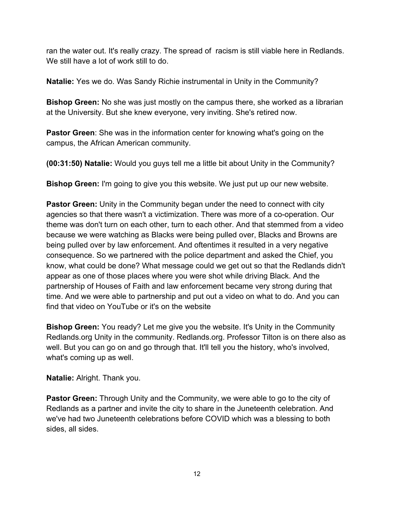ran the water out. It's really crazy. The spread of racism is still viable here in Redlands. We still have a lot of work still to do.

**Natalie:** Yes we do. Was Sandy Richie instrumental in Unity in the Community?

**Bishop Green:** No she was just mostly on the campus there, she worked as a librarian at the University. But she knew everyone, very inviting. She's retired now.

**Pastor Green**: She was in the information center for knowing what's going on the campus, the African American community.

**(00:31:50) Natalie:** Would you guys tell me a little bit about Unity in the Community?

**Bishop Green:** I'm going to give you this website. We just put up our new website.

**Pastor Green:** Unity in the Community began under the need to connect with city agencies so that there wasn't a victimization. There was more of a co-operation. Our theme was don't turn on each other, turn to each other. And that stemmed from a video because we were watching as Blacks were being pulled over, Blacks and Browns are being pulled over by law enforcement. And oftentimes it resulted in a very negative consequence. So we partnered with the police department and asked the Chief, you know, what could be done? What message could we get out so that the Redlands didn't appear as one of those places where you were shot while driving Black. And the partnership of Houses of Faith and law enforcement became very strong during that time. And we were able to partnership and put out a video on what to do. And you can find that video on YouTube or it's on the website

**Bishop Green:** You ready? Let me give you the website. It's Unity in the Community Redlands.org Unity in the community. Redlands.org. Professor Tilton is on there also as well. But you can go on and go through that. It'll tell you the history, who's involved, what's coming up as well.

**Natalie:** Alright. Thank you.

**Pastor Green:** Through Unity and the Community, we were able to go to the city of Redlands as a partner and invite the city to share in the Juneteenth celebration. And we've had two Juneteenth celebrations before COVID which was a blessing to both sides, all sides.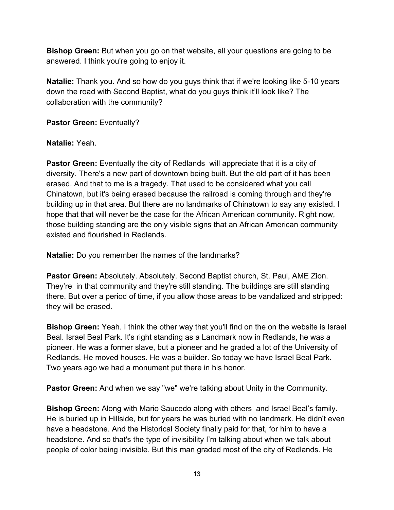**Bishop Green:** But when you go on that website, all your questions are going to be answered. I think you're going to enjoy it.

**Natalie:** Thank you. And so how do you guys think that if we're looking like 5-10 years down the road with Second Baptist, what do you guys think it'll look like? The collaboration with the community?

**Pastor Green:** Eventually?

#### **Natalie:** Yeah.

**Pastor Green:** Eventually the city of Redlands will appreciate that it is a city of diversity. There's a new part of downtown being built. But the old part of it has been erased. And that to me is a tragedy. That used to be considered what you call Chinatown, but it's being erased because the railroad is coming through and they're building up in that area. But there are no landmarks of Chinatown to say any existed. I hope that that will never be the case for the African American community. Right now, those building standing are the only visible signs that an African American community existed and flourished in Redlands.

**Natalie:** Do you remember the names of the landmarks?

**Pastor Green:** Absolutely. Absolutely. Second Baptist church, St. Paul, AME Zion. They're in that community and they're still standing. The buildings are still standing there. But over a period of time, if you allow those areas to be vandalized and stripped: they will be erased.

**Bishop Green:** Yeah. I think the other way that you'll find on the on the website is Israel Beal. Israel Beal Park. It's right standing as a Landmark now in Redlands, he was a pioneer. He was a former slave, but a pioneer and he graded a lot of the University of Redlands. He moved houses. He was a builder. So today we have Israel Beal Park. Two years ago we had a monument put there in his honor.

**Pastor Green:** And when we say "we" we're talking about Unity in the Community.

**Bishop Green:** Along with Mario Saucedo along with others and Israel Beal's family. He is buried up in Hillside, but for years he was buried with no landmark. He didn't even have a headstone. And the Historical Society finally paid for that, for him to have a headstone. And so that's the type of invisibility I'm talking about when we talk about people of color being invisible. But this man graded most of the city of Redlands. He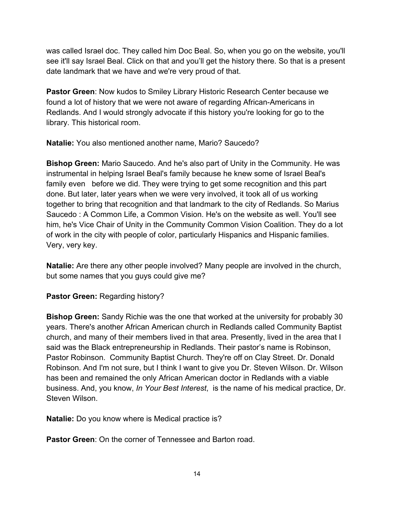was called Israel doc. They called him Doc Beal. So, when you go on the website, you'll see it'll say Israel Beal. Click on that and you'll get the history there. So that is a present date landmark that we have and we're very proud of that.

**Pastor Green**: Now kudos to Smiley Library Historic Research Center because we found a lot of history that we were not aware of regarding African-Americans in Redlands. And I would strongly advocate if this history you're looking for go to the library. This historical room.

**Natalie:** You also mentioned another name, Mario? Saucedo?

**Bishop Green:** Mario Saucedo. And he's also part of Unity in the Community. He was instrumental in helping Israel Beal's family because he knew some of Israel Beal's family even before we did. They were trying to get some recognition and this part done. But later, later years when we were very involved, it took all of us working together to bring that recognition and that landmark to the city of Redlands. So Marius Saucedo : A Common Life, a Common Vision. He's on the website as well. You'll see him, he's Vice Chair of Unity in the Community Common Vision Coalition. They do a lot of work in the city with people of color, particularly Hispanics and Hispanic families. Very, very key.

**Natalie:** Are there any other people involved? Many people are involved in the church, but some names that you guys could give me?

**Pastor Green:** Regarding history?

**Bishop Green:** Sandy Richie was the one that worked at the university for probably 30 years. There's another African American church in Redlands called Community Baptist church, and many of their members lived in that area. Presently, lived in the area that I said was the Black entrepreneurship in Redlands. Their pastor's name is Robinson, Pastor Robinson. Community Baptist Church. They're off on Clay Street. Dr. Donald Robinson. And I'm not sure, but I think I want to give you Dr. Steven Wilson. Dr. Wilson has been and remained the only African American doctor in Redlands with a viable business. And, you know, *In Your Best Interest*, is the name of his medical practice, Dr. Steven Wilson.

**Natalie:** Do you know where is Medical practice is?

**Pastor Green: On the corner of Tennessee and Barton road.**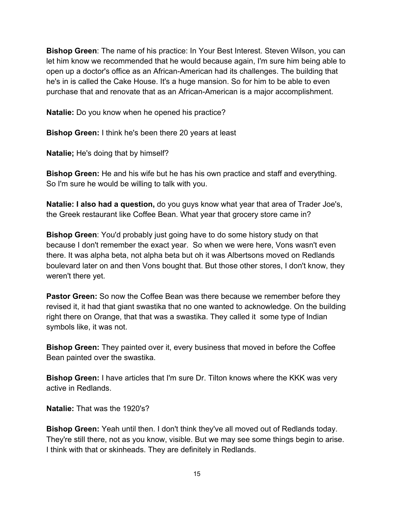**Bishop Green**: The name of his practice: In Your Best Interest. Steven Wilson, you can let him know we recommended that he would because again, I'm sure him being able to open up a doctor's office as an African-American had its challenges. The building that he's in is called the Cake House. It's a huge mansion. So for him to be able to even purchase that and renovate that as an African-American is a major accomplishment.

**Natalie:** Do you know when he opened his practice?

**Bishop Green:** I think he's been there 20 years at least

**Natalie;** He's doing that by himself?

**Bishop Green:** He and his wife but he has his own practice and staff and everything. So I'm sure he would be willing to talk with you.

**Natalie: I also had a question,** do you guys know what year that area of Trader Joe's, the Greek restaurant like Coffee Bean. What year that grocery store came in?

**Bishop Green**: You'd probably just going have to do some history study on that because I don't remember the exact year. So when we were here, Vons wasn't even there. It was alpha beta, not alpha beta but oh it was Albertsons moved on Redlands boulevard later on and then Vons bought that. But those other stores, I don't know, they weren't there yet.

**Pastor Green:** So now the Coffee Bean was there because we remember before they revised it, it had that giant swastika that no one wanted to acknowledge. On the building right there on Orange, that that was a swastika. They called it some type of Indian symbols like, it was not.

**Bishop Green:** They painted over it, every business that moved in before the Coffee Bean painted over the swastika.

**Bishop Green:** I have articles that I'm sure Dr. Tilton knows where the KKK was very active in Redlands.

**Natalie:** That was the 1920's?

**Bishop Green:** Yeah until then. I don't think they've all moved out of Redlands today. They're still there, not as you know, visible. But we may see some things begin to arise. I think with that or skinheads. They are definitely in Redlands.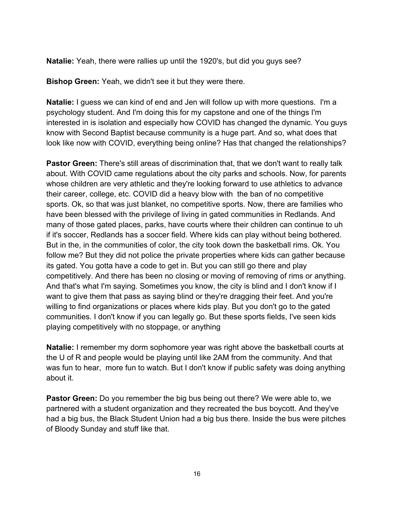**Natalie:** Yeah, there were rallies up until the 1920's, but did you guys see?

**Bishop Green:** Yeah, we didn't see it but they were there.

**Natalie:** I guess we can kind of end and Jen will follow up with more questions. I'm a psychology student. And I'm doing this for my capstone and one of the things I'm interested in is isolation and especially how COVID has changed the dynamic. You guys know with Second Baptist because community is a huge part. And so, what does that look like now with COVID, everything being online? Has that changed the relationships?

**Pastor Green:** There's still areas of discrimination that, that we don't want to really talk about. With COVID came regulations about the city parks and schools. Now, for parents whose children are very athletic and they're looking forward to use athletics to advance their career, college, etc. COVID did a heavy blow with the ban of no competitive sports. Ok, so that was just blanket, no competitive sports. Now, there are families who have been blessed with the privilege of living in gated communities in Redlands. And many of those gated places, parks, have courts where their children can continue to uh if it's soccer, Redlands has a soccer field. Where kids can play without being bothered. But in the, in the communities of color, the city took down the basketball rims. Ok. You follow me? But they did not police the private properties where kids can gather because its gated. You gotta have a code to get in. But you can still go there and play competitively. And there has been no closing or moving of removing of rims or anything. And that's what I'm saying. Sometimes you know, the city is blind and I don't know if I want to give them that pass as saying blind or they're dragging their feet. And you're willing to find organizations or places where kids play. But you don't go to the gated communities. I don't know if you can legally go. But these sports fields, I've seen kids playing competitively with no stoppage, or anything

**Natalie:** I remember my dorm sophomore year was right above the basketball courts at the U of R and people would be playing until like 2AM from the community. And that was fun to hear, more fun to watch. But I don't know if public safety was doing anything about it.

**Pastor Green:** Do you remember the big bus being out there? We were able to, we partnered with a student organization and they recreated the bus boycott. And they've had a big bus, the Black Student Union had a big bus there. Inside the bus were pitches of Bloody Sunday and stuff like that.